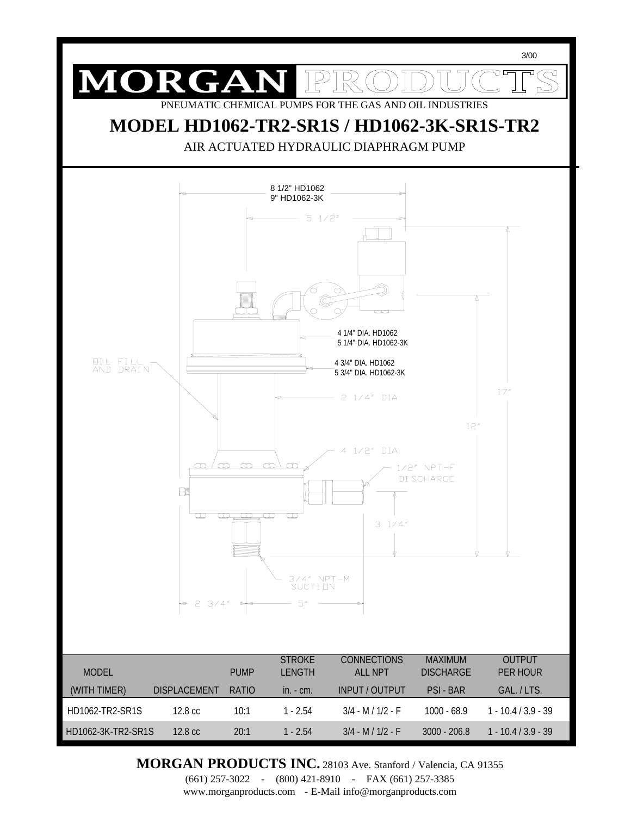

**MORGAN PRODUCTS INC.** 28103 Ave. Stanford / Valencia, CA 91355

(661) 257-3022 - (800) 421-8910 - FAX (661) 257-3385 www.morganproducts.com - E-Mail info@morganproducts.com